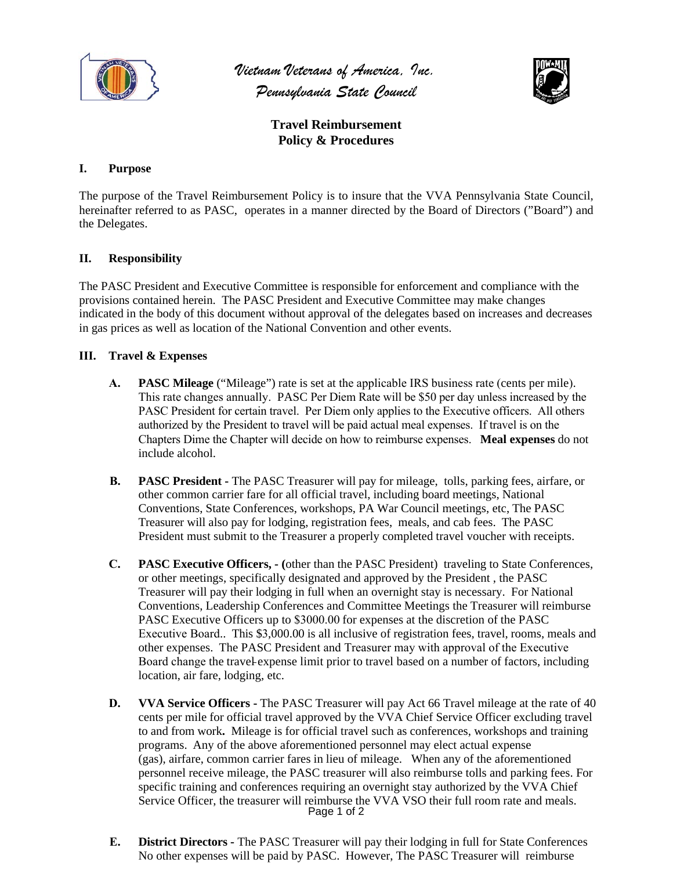

*Vietnam Veterans of America, Inc. Pennsylvania State Council*



**Travel Reimbursement Policy & Procedures** 

## **I. Purpose**

The purpose of the Travel Reimbursement Policy is to insure that the VVA Pennsylvania State Council, hereinafter referred to as PASC, operates in a manner directed by the Board of Directors ("Board") and the Delegates.

## **II. Responsibility**

The PASC President and Executive Committee is responsible for enforcement and compliance with the provisions contained herein. The PASC President and Executive Committee may make changes indicated in the body of this document without approval of the delegates based on increases and decreases in gas prices as well as location of the National Convention and other events.

## **III. Travel & Expenses**

- **A. PASC Mileage** ("Mileage") rate is set at the applicable IRS business rate (cents per mile). This rate changes annually. PASC Per Diem Rate will be \$50 per day unless increased by the PASC President for certain travel. Per Diem only applies to the Executive officers. All others authorized by the President to travel will be paid actual meal expenses. If travel is on the Chapters Dime the Chapter will decide on how to reimburse expenses. **Meal expenses** do not include alcohol.
- **B. PASC President** The PASC Treasurer will pay for mileage, tolls, parking fees, airfare, or other common carrier fare for all official travel, including board meetings, National Conventions, State Conferences, workshops, PA War Council meetings, etc, The PASC Treasurer will also pay for lodging, registration fees, meals, and cab fees. The PASC President must submit to the Treasurer a properly completed travel voucher with receipts.
- **C. PASC Executive Officers, (**other than the PASC President) traveling to State Conferences, or other meetings, specifically designated and approved by the President , the PASC Treasurer will pay their lodging in full when an overnight stay is necessary. For National Conventions, Leadership Conferences and Committee Meetings the Treasurer will reimburse PASC Executive Officers up to \$3000.00 for expenses at the discretion of the PASC Executive Board.. This \$3,000.00 is all inclusive of registration fees, travel, rooms, meals and other expenses. The PASC President and Treasurer may with approval of the Executive Board change the travel expense limit prior to travel based on a number of factors, including location, air fare, lodging, etc.
- Page 1 of 2 **D. VVA Service Officers -** The PASC Treasurer will pay Act 66 Travel mileage at the rate of 40 cents per mile for official travel approved by the VVA Chief Service Officer excluding travel to and from work**.** Mileage is for official travel such as conferences, workshops and training programs. Any of the above aforementioned personnel may elect actual expense (gas), airfare, common carrier fares in lieu of mileage. When any of the aforementioned personnel receive mileage, the PASC treasurer will also reimburse tolls and parking fees. For specific training and conferences requiring an overnight stay authorized by the VVA Chief Service Officer, the treasurer will reimburse the VVA VSO their full room rate and meals.
- **E. District Directors** The PASC Treasurer will pay their lodging in full for State Conferences No other expenses will be paid by PASC. However, The PASC Treasurer will reimburse